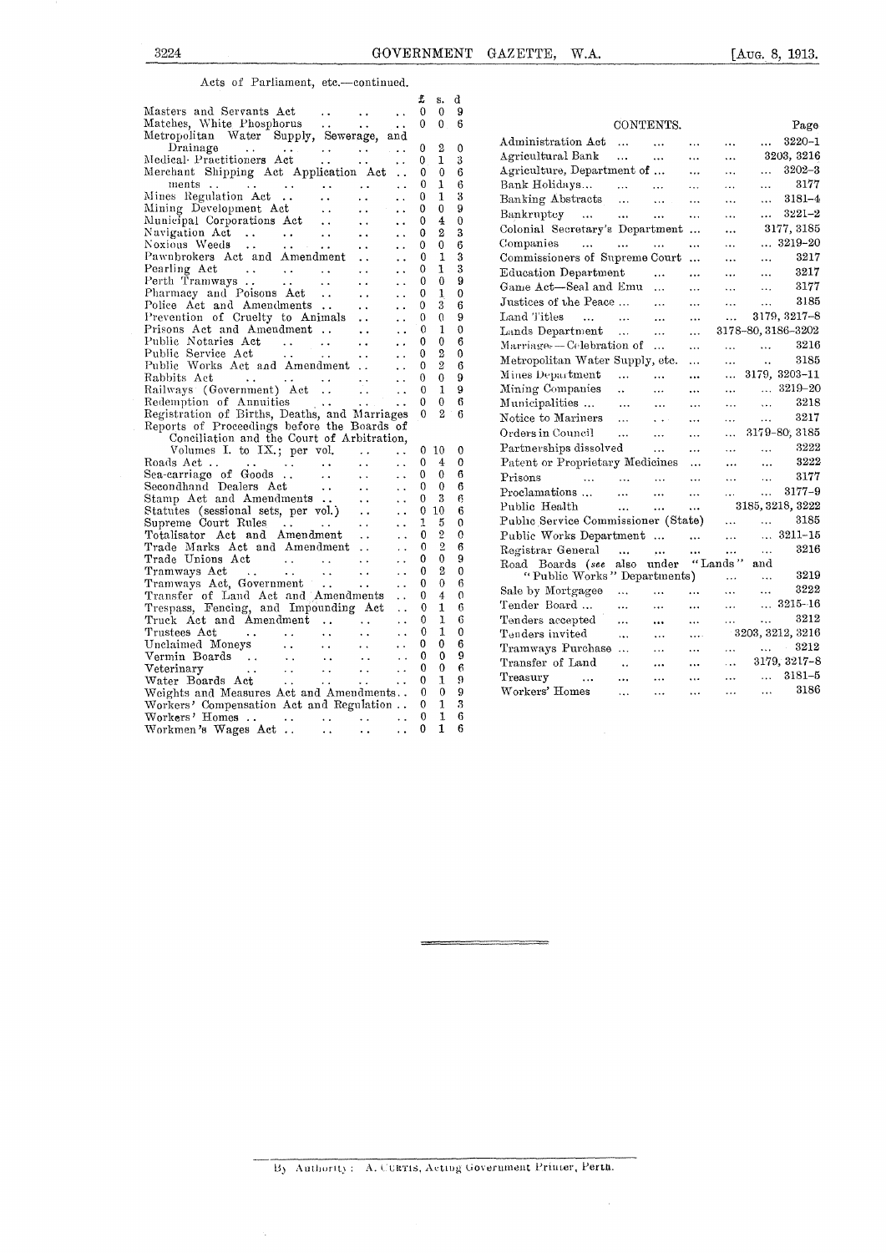#### Acts of Parliament, etc.—continued.

|                                                                                                                                                                    | £                            | s. d                         |                   |                                                                                                                                   |
|--------------------------------------------------------------------------------------------------------------------------------------------------------------------|------------------------------|------------------------------|-------------------|-----------------------------------------------------------------------------------------------------------------------------------|
| Masters and Servants Act<br>$\ddot{\phantom{a}}$<br>$\sim 10^{-10}$<br>$\ddot{\phantom{a}}$                                                                        | $\overline{0}$               | $\mathbf{0}$                 | -9                |                                                                                                                                   |
| Matches, White Phosphorus<br>$\sim$ $\sim$<br><b>Contractor</b><br>$\sim$                                                                                          | $\Omega$                     | $\theta$                     | -6                | CONTENTS.<br>Page                                                                                                                 |
| Metropolitan Water Supply, Sewerage, and                                                                                                                           |                              |                              |                   | $3220 - 1$<br>Administration Act<br><b>Contract Contract</b><br>$\cdots$<br>$\ldots$<br>$\cdots$                                  |
| Drainage<br>$\sim 100$ km s $^{-1}$<br><b>Contract Contract Contract</b><br>$\mathbf{r} \cdot \mathbf{r} = \mathbf{r} \cdot \mathbf{r} \cdot \mathbf{r}$           | 0                            | $^{2}$                       | $\theta$          | 3203, 3216<br>Agricultural Bank<br>and the same                                                                                   |
| Medical Practitioners Act<br>$\mathbf{r}$ , and $\mathbf{r}$<br>$\mathbf{r}$ , $\mathbf{r}$ , $\mathbf{r}$<br>$\ddot{\phantom{0}}$                                 | $\mathbf{0}$                 | $\mathbf{1}$                 | 3                 | $\sim 10^{-1}$<br>$\ddotsc$                                                                                                       |
| Merchant Shipping Act Application Act                                                                                                                              | $\mathbf{0}$                 | $\mathbf{0}$                 | 6                 | Agriculture, Department of<br>$3202 - 3$<br>$\cdots$<br>$\ddotsc$<br>$\ddotsc$                                                    |
| ments<br>ments<br>Mines Regulation Act<br>$\ddot{\phantom{a}}$                                                                                                     | $\theta$                     | 1                            | 6                 | 3177<br>Bank Holidays<br>$\mathbf{r}(\mathbf{x}) = \mathbf{r}(\mathbf{x}, \mathbf{y})$<br>$\sim 10^{-11}$<br>$\cdots$<br>$\cdots$ |
| $\ddot{\phantom{a}}$<br>$\ddot{\phantom{0}}$<br>$\ddot{\phantom{0}}$                                                                                               | 0                            | $\mathbf{1}$<br>$\mathbf{0}$ | 3                 | Banking Abstracts<br>$3181 - 4$<br>$\cdots$<br>$\ddotsc$                                                                          |
| Mining Development Act.<br>$\ddot{\phantom{a}}$ .<br>$\ddot{\phantom{a}}$<br>Municipal Corporations Act                                                            | $\mathbf 0$<br>$\mathbf{0}$  | $\overline{4}$               | 9<br>$\theta$     | $3221 - 2$<br>Bankruptcy<br>$\ddotsc$<br>$\ddotsc$<br>$\cdots$                                                                    |
| $\ddotsc$<br>$\ddot{\phantom{a}}$<br>Navigation Act                                                                                                                | $\mathbf 0$                  | $\mathbf{2}$                 | 3                 | Colonial Secretary's Department<br>3177, 3185<br>$\ddotsc$                                                                        |
| $\sim 10$<br>$\ddotsc$<br>$\ddot{\phantom{a}}$<br>Noxious Weeds<br>$\ddot{\phantom{0}}$                                                                            | $\mathbf{0}$                 | $\mathbf{0}$                 | 6                 | Companies<br>$ 3219 - 20$<br>$\mathbf{1.1}$ and $\mathbf{1.1}$<br>and the company<br>$\ddotsc$<br>$\ddots$                        |
| $\ddotsc$<br>Pawnbrokers Act and Amendment<br>$\ddot{\phantom{a}}$                                                                                                 | $\Omega$                     | 1                            | 3                 | 3217<br>Commissioners of Supreme Court<br>$\ddotsc$                                                                               |
| Pearling Act<br>$\sim 10^{11}$ and $\sim 10^{11}$ and $\sim 10^{11}$<br>$\ddot{\phantom{a}}$<br>$\ddot{\phantom{a}}$                                               | $\Omega$                     | $\mathbf{I}$                 | 3                 | $\ddotsc$                                                                                                                         |
| Perth Tramways<br>$\mathbf{v}$ .<br>$\ddot{\phantom{a}}$<br>$\ddot{\phantom{a}}$                                                                                   | $\Omega$                     | $\bf{0}$                     | 9                 | 3217<br>Education Department<br>$\cdots$<br>$\cdots$<br>$\ddotsc$                                                                 |
| Pharmacy and Poisons Act<br>$\ddot{\phantom{a}}$<br>$\ddot{\phantom{a}}$                                                                                           | $\mathbf{0}$                 | $\mathbf{1}$                 | $\Omega$          | 3177<br>Game Act-Seal and Emu<br>$\ddotsc$<br>$\cdots$<br>$\ddotsc$                                                               |
| Police Act and Amendments<br>$\ddot{\phantom{a}}$<br>$\ddot{\phantom{0}}$                                                                                          | $\Omega$                     | 3                            | 6                 | 3185<br>Justices of the Peace<br>$\bar{\nu}$ .<br>$\cdots$<br>$\ddotsc$                                                           |
| Prevention of Cruelty to Animals<br>$\ddotsc$<br>$\ddot{\phantom{a}}$                                                                                              | $\theta$                     | $\theta$                     | 9                 | 3179, 3217-8<br>Land Titles<br>$\dddotsc$<br>المتقدم المتفارد المتفارد<br>$\ddotsc$                                               |
| Prisons Act and Amendment<br>$\ddotsc$<br>$\ddot{\phantom{a}}$                                                                                                     | $\Omega$                     | $\mathbf{1}$                 | $\theta$          | Lands Department<br>3178-80, 3186-3202<br>$\ddotsc$                                                                               |
| Public Notaries Act<br><b>Contract Contract Contract</b><br>$\ddot{\phantom{0}}$<br>$\ddot{\phantom{0}}$                                                           | $\bf{0}$                     | $\theta$                     | 6                 | 3216<br>$Marriage. - Celebration of $<br>$\ddotsc$<br>$\ddotsc$<br>$\cdots$                                                       |
| Public Service Act<br><b>Contractor</b><br>$\ddot{\phantom{a}}$ .<br>$\ddotsc$                                                                                     | $\mathbf{0}$                 | $\overline{2}$               | $\mathbf{0}$      |                                                                                                                                   |
| Public Works Act and Amendment<br>$\ddot{\phantom{a}}$                                                                                                             | $\mathbf{0}$                 | 2                            | 6                 | 3185<br>Metropolitan Water Supply, etc.<br>$\ddot{\phantom{a}}$<br>$\ddotsc$                                                      |
| Rabbits Act<br>and the contract of the contract of<br>$\sim 10$<br>$\ddot{\phantom{a}}$                                                                            | $\theta$                     | $\theta$                     | $\Omega$          | $\ldots$ 3179, 3203-11<br>المنتقل المتقلب<br>Mines Department<br>$\cdots$                                                         |
| Railways (Government) Act<br>$\ddot{\phantom{a}}$                                                                                                                  | $\Omega$                     | 1                            | 9                 | $\ldots$ 3219-20<br>Mining Companies<br>$\sim 100$<br>$\mathbf{r}$ and $\mathbf{r}$<br>$\cdots$<br>$\cdots$                       |
| Redemption of Annuities<br><b>Contract</b><br>$\sim$ $\sim$                                                                                                        | $\Omega$                     | $\mathbf{0}$                 | 6                 | 3218<br>Municipalities<br>$\ddotsc$<br>$\cdots$<br>$\ddotsc$<br>$\sim$ $\sim$ $\sim$                                              |
| Registration of Births, Deaths, and Marriages                                                                                                                      | $\Omega$                     | $2^{1}$                      | 6                 | 3217<br>Notice to Mariners<br>$\ddotsc$<br>$\mathbf{q}^{\prime}$ , $\mathbf{q}^{\prime}$ ,<br>$\cdots$<br>$\cdots$                |
| Reports of Proceedings before the Boards of                                                                                                                        |                              |                              |                   | $\ldots$ 3179-80, 3185<br>Orders in Council<br>$\cdots$<br>$\sim 10^{-1}$<br>$\mathbf{A}$                                         |
| Conciliation and the Court of Arbitration,                                                                                                                         |                              |                              |                   | 3222<br>Partnerships dissolved                                                                                                    |
| Volumes I. to IX.; per vol.<br>$\sim$ $\sim$<br>$\ddot{\phantom{a}}$                                                                                               |                              | 010                          | $\mathbf{0}$      | $\sim 10^{-11}$<br>$\ddotsc$<br>$\cdots$<br>$\ldots$<br>3222                                                                      |
| Roads Act<br>$\ddot{\phantom{a}}$ .<br>$\mathcal{L}(\mathbf{z},\mathbf{z})$ . The contribution of the $\mathcal{L}(\mathbf{z},\mathbf{z})$<br>$\ddot{\phantom{a}}$ | $\mathbf{0}$<br>$\mathbf{0}$ | $\overline{4}$<br>$\theta$   | $\mathbf{0}$<br>6 | Patent or Proprietary Medicines<br>$\cdots$<br>$\ddotsc$                                                                          |
| Sea-carriage of Goods<br>$\sim 10^{-10}$<br>$\sim$ $\sim$<br>$\ddot{\phantom{a}}$<br>Secondhand Dealers Act.                                                       | $\mathbf{0}$                 | $\mathbf{0}$                 | 6                 | 3177<br>Prisons<br>المعتقد التعقيب التقفير المناد<br>$\cdots$<br>$\ldots$<br>$\ddotsc$                                            |
| $\sim$ $\sim$<br>$\sim$ $\sim$                                                                                                                                     | $\theta$                     | 3                            | 6                 | 3177-9<br>Proclamations<br>$\cdots$<br>$\ddotsc$<br>$\ddotsc$<br>$\cdots$                                                         |
| Stamp Act and Amendments<br>Statutes (sessional sets, per vol.)<br>$\sim$ $\sim$<br>$\ddot{\phantom{a}}$<br>$\ddot{\phantom{a}}$                                   | $\mathbf{0}$                 | 10                           | 6                 | 3185, 3218, 3222<br>Public Health<br>$\cdots$ $\cdots$<br>$\ddotsc$                                                               |
| Supreme Court Rules<br>$\sim$ $\sim$<br>$\ddot{\phantom{a}}$                                                                                                       | $\mathbf{1}$                 | 5                            | $\Omega$          | 3185<br>Public Service Commissioner (State)<br>$\ddotsc$<br>$\mathbf{1}$ , $\mathbf{1}$                                           |
| Totalisator Act and Amendment<br>$\ddotsc$<br>$\ddot{\phantom{a}}$                                                                                                 | $\bf{0}$                     | $\overline{2}$               | $\Omega$          | $ 3211 - 15$<br>Public Works Department<br>$\ddotsc$<br>$\mathbf{1}$                                                              |
| Trade Marks Act and Amendment<br>$\sim$ $\sim$                                                                                                                     | $\Omega$                     | $\overline{2}$               | 6                 | 3216<br>Registrar General<br>$\mathbf{a}$<br>$\cdots$<br>$\mathbf{r}$ , $\mathbf{r}$                                              |
| Trade Unions Act (1996).<br>$\sim$ $\sim$<br>$\ddot{\phantom{0}}$                                                                                                  | $\bf{0}$                     | $\mathbf 0$                  | 9                 | $\cdots$<br>$\cdots$                                                                                                              |
| Tramways Act<br>the contract of the contract of<br>$\sim$ $\star$<br>$\ddot{\phantom{0}}$                                                                          | $\mathbf{0}$                 | $\overline{2}$               | $\mathbf{0}$      | Road Boards (see also under "Lands"<br>and<br>3219<br>"Public Works" Departments)                                                 |
| Tramways Act, Government<br>$\sim 10^{-1}$<br>$\ddot{\phantom{a}}$                                                                                                 | $\theta$                     | $\mathbf{0}$                 | 6                 | $\cdots$<br>$\ddotsc$<br>3222                                                                                                     |
| Transfer of Land Act and Amendments<br>$\sim$ .                                                                                                                    | $\Omega$                     | $\overline{\bf{4}}$          | $\Omega$          | Sale by Mortgagee<br><br>$\cdots$<br>$\cdots$<br>$\cdots$                                                                         |
| Trespass, Fencing, and Impounding Act<br>$\ddot{\phantom{a}}$ .                                                                                                    | $\mathbf{0}$                 | 1                            | 6                 | $ 3215 - 16$<br>Tender Board<br>$\ddotsc$<br>$\sim 10^{-10}$<br>$\sim 10^{-1}$<br>$\cdots$                                        |
| Truck Act and Amendment<br>$\sim 100$ km s $^{-1}$<br>$\ddot{\phantom{a}}$                                                                                         | $\Omega$                     | $\mathbf{I}$                 | 6                 | 3212<br>Tenders accepted<br>$\ddotsc$<br>$\mathbf{1}$ , $\mathbf{1}$<br>$\cdots$<br>$\cdots$<br>$\ldots$                          |
| Trustees Act<br>$\mathbf{r}$ and $\mathbf{r}$ and $\mathbf{r}$ and $\mathbf{r}$<br>$\sim 10^{-1}$<br>$\ddotsc$<br>$\sim 10$                                        | $\Omega$                     | 1                            | $\mathbf{0}$      | 3203, 3212, 3216<br>Tenders invited<br>$\cdots$<br>$\mathbf{r}$ , $\mathbf{r}$ ,<br>$\ldots$                                      |
| Unclaimed Moneys<br>Vermin Boards<br>$\mathbf{A}$ and $\mathbf{A}$<br>$\sim 10$<br>$\ddot{\phantom{a}}$                                                            | $\theta$                     | $\Omega$                     | 6                 | 3212<br>$\ddotsc$<br>Tramways Purchase<br>$\ldots$<br>$\cdots$<br>$\ddots$                                                        |
| $\sim$ $\sim$ $\sim$<br>$\ddot{\phantom{a}}$                                                                                                                       | $\Omega$                     | $\Omega$                     | 9                 | 3179, 3217-8<br>Transfer of Land<br>$\ddotsc$<br>$\sim$<br>$\cdots$<br>$\cdots$                                                   |
| Veterinary<br>$\sim 10^{-1}$<br>$\ddot{\phantom{a}}$<br>$\sim$<br>and the state of the state of the                                                                | $\Omega$                     | $\theta$                     | 6                 | 3181-5<br>$\mathcal{L}_{\text{max}}$                                                                                              |
| Water Boards Act<br><b>Contract Contract Contract</b><br>$\sim 10$<br>$\ddot{\phantom{a}}$                                                                         | $\mathbf{0}$                 | $\mathbf{1}$                 | 9                 | Treasury<br>$\ddotsc$<br>$\mathbf{r}$ , $\mathbf{r}$ , $\mathbf{r}$<br>$\ddotsc$<br>$\cdots$<br>$\ddotsc$<br>3186                 |
| Weights and Measures Act and Amendments                                                                                                                            | $\overline{0}$               | $\theta$                     | 9                 | Workers' Homes<br>$\ddotsc$<br>$\dddot{\phantom{0}}$<br>$\cdots$<br>$\cdots$<br>$\cdots$                                          |
| Workers' Compensation Act and Regulation . 0 1                                                                                                                     |                              |                              | 3                 |                                                                                                                                   |
| Workers' Homes $\ldots$ 0                                                                                                                                          |                              | 1                            | 6                 |                                                                                                                                   |
| Workmen's Wages Act<br>$\sim 10$<br><b>Contract Contract Contract</b>                                                                                              | $\ldots$ 0                   | $\mathbf{1}$                 | 6                 |                                                                                                                                   |

| Matches, White Phosphorus<br>$\sim$ $\sim$<br>$\sim 10^{-1}$<br>$\ddot{\phantom{0}}$                                                                                                                                                                                      | $\theta$         | $\mathbf{0}$      | 6             | CONTENTS.                                                                                                                                            | Page             |
|---------------------------------------------------------------------------------------------------------------------------------------------------------------------------------------------------------------------------------------------------------------------------|------------------|-------------------|---------------|------------------------------------------------------------------------------------------------------------------------------------------------------|------------------|
| Metropolitan Water Supply, Sewerage, and                                                                                                                                                                                                                                  |                  |                   |               | Administration Act                                                                                                                                   | $$ 3220-1        |
| Drainage<br>$\ddot{\phantom{a}}$                                                                                                                                                                                                                                          | 0                | $\mathbf{2}$      | $\Omega$      | $\cdots$<br>$\cdots$                                                                                                                                 |                  |
| Medical Practitioners Act<br>$\ddot{\phantom{0}}$                                                                                                                                                                                                                         | $\theta$         | $\mathbf{1}$      | 3             | Agricultural Bank<br>$\mathcal{L}_{\mathcal{A}}$ and $\mathcal{L}_{\mathcal{A}}$<br>$\cdots$                                                         | 3203, 3216       |
| Merchant Shipping Act Application Act                                                                                                                                                                                                                                     | $\theta$         | $\mathbf{0}$      | 6             | Agriculture, Department of<br>$\cdots$<br>$\ddotsc$                                                                                                  | $3202 - 3$       |
| ments<br>ments<br>Mines Regulation Act                                                                                                                                                                                                                                    | $\Omega$         | 1                 | 6             | Bank Holidays<br>and the most control<br>$\ddotsc$<br>$\ldots$                                                                                       | 3177             |
| $\sim$<br>$\ddot{\phantom{0}}$                                                                                                                                                                                                                                            | $\Omega$         | 1                 | 3             | Banking Abstracts<br>$\cdots$<br>$\sim$ $\sim$                                                                                                       | $3181 - 4$       |
| Mining Development Act (1998).<br>Municipal Corporations Act (1998).<br>$\ddot{\phantom{a}}$                                                                                                                                                                              | 0                | $\mathbf 0$       | 9             | Bankruptcy<br>$\cdots$<br>$\cdots$                                                                                                                   | $3221 - 2$       |
| $\ddot{\phantom{a}}$                                                                                                                                                                                                                                                      | $\Omega$         | $\overline{4}$    | $\Omega$      | Colonial Secretary's Department<br>$\ddotsc$                                                                                                         | 3177, 3185       |
| Navigation Act<br>Noxious Weeds<br>$\sim$ $\sim$                                                                                                                                                                                                                          | $\mathbf 0$      | $\overline{2}$    | 3             |                                                                                                                                                      | $ 3219 - 20$     |
| $\ddot{\phantom{0}}$                                                                                                                                                                                                                                                      | $\mathbf{0}$     | $\mathbf{0}$      | 6             | Companies<br>$\dddotsc$                                                                                                                              |                  |
| Pawnbrokers Act and Amendment<br>$\ddot{\phantom{a}}$<br>Pearling Act                                                                                                                                                                                                     | $\mathbf 0$<br>0 | $\mathbf{1}$<br>1 | 3<br>3        | Commissioners of Supreme Court<br>$\ddotsc$<br>$\ddotsc$                                                                                             | 3217             |
| and the contract of the contract of the contract of the contract of the contract of the contract of the contract of the contract of the contract of the contract of the contract of the contract of the contract of the contra<br>$\ddot{\phantom{a}}$                    | $\mathbf{0}$     | $\bf{0}$          | 9             | Education Department<br>$\Delta\Delta\sim 10^{-11}$<br>$\ddotsc$<br>$\cdots$<br>$\cdots$                                                             | 3217             |
| Perth Tramways<br>$\ddotsc$<br>$\sim 100$ km s $^{-1}$<br>Pharmacy and Poisons Act.                                                                                                                                                                                       | $\mathbf{0}$     | $\mathbf{1}$      | $\Omega$      | Game Act—Seal and Emu<br>$\ddotsc$<br>$\mathbf{1}$ , $\mathbf{1}$<br>$\cdots$                                                                        | 3177             |
| $\ddot{\phantom{a}}$<br>$\ddot{\phantom{a}}$<br>Police Act and Amendments<br>$\ddotsc$                                                                                                                                                                                    | $\mathbf{0}$     | 3                 | 6             | Justices of the Peace<br>$\mathbf{A}$<br>$\cdots$<br>$\mathbf{r}_{\mathrm{max}}$                                                                     | 3185             |
| $\ddot{\phantom{0}}$<br>Prevention of Cruelty to Animals<br>$\ddot{\phantom{0}}$                                                                                                                                                                                          | $\theta$         | $\theta$          | 9             | Land Titles<br>$\cdots$<br>$\sim 10^{-11}$                                                                                                           | 3179, 3217-8     |
| Prisons Act and Amendment<br>$\sim$ $\sim$<br>$\ddot{\phantom{a}}$                                                                                                                                                                                                        | $\Omega$         | $\mathbf{1}$      | $\theta$      | Lands Department<br>3178-80, 3186-3202<br>$\dddotsc$                                                                                                 |                  |
| Public Notaries Act<br>$\ddot{\phantom{a}}$                                                                                                                                                                                                                               | $\bf{0}$         | $\theta$          | 6             |                                                                                                                                                      |                  |
| $\mathbf{r}$ . $\mathbf{r}$<br>Public Service Act<br>$\ddotsc$                                                                                                                                                                                                            | $\Omega$         | $\boldsymbol{2}$  | $\Omega$      | $Marriage. - Celebration of $<br>$\cdots$<br>$\ddotsc$<br>$\cdots$                                                                                   | 3216             |
| Public Works Act and Amendment<br>$\ddot{\phantom{a}}$                                                                                                                                                                                                                    | 0                | $\overline{2}$    | 6             | Metropolitan Water Supply, etc.<br>$\sim 100$<br>$\mathcal{L}_{\mathcal{A}}$<br>$\ddotsc$                                                            | 3185             |
| Rabbits Act<br>المتفاد المتفاد الوحاد التحقيد<br>$\ddot{\phantom{a}}$                                                                                                                                                                                                     | $\Omega$         | $\mathbf{0}$      | 9             | Mines Department<br>$\ldots$ 3179, 3203-11<br>$\sim 10^{11}$ m $^{-1}$<br><b>Section</b><br>$\cdots$                                                 |                  |
| Railways (Government) Act<br>$\ddotsc$                                                                                                                                                                                                                                    | $\theta$         | $\mathbf{1}$      | 9             | Mining Companies<br>$\mathcal{L}_{\text{max}}$ and $\mathcal{L}_{\text{max}}$<br>$\mathbf{r}$ and $\mathbf{r}$ and $\mathbf{r}$<br>$\cdots$          | $\ldots$ 3219-20 |
| Redemption of Annuities<br>$\sim 100$ km s $^{-1}$<br>$\Delta$ - $\Delta$ - $\Delta$<br>$\ddot{\phantom{a}}$                                                                                                                                                              | $\Omega$         | $\mathbf{0}$      | 6             | Municipalities<br>$\mathbf{L}(\mathbf{r})$<br>$\Delta$ .<br>$\sim 100$ km s $^{-1}$<br>$\mathbf{1.1.1}$ .<br>$\sim 100$                              | 3218             |
| Registration of Births, Deaths, and Marriages                                                                                                                                                                                                                             | $\Omega$         | $\mathfrak{D}$    | 6             | Notice to Mariners<br>$\mathcal{L}_{\text{max}}$ .<br>$\ddotsc$<br>$\mathbf{q}^{\prime}$ , $\mathbf{q}^{\prime}$ , $\mathbf{q}^{\prime}$<br>$\ldots$ | 3217             |
| Reports of Proceedings before the Boards of                                                                                                                                                                                                                               |                  |                   |               | $\ldots$ 3179-80, 3185<br>Orders in Council<br>$\mathbf{r}$<br>$\mathbf{r}$                                                                          |                  |
| Conciliation and the Court of Arbitration,                                                                                                                                                                                                                                |                  |                   |               | $\mathbf{A}$                                                                                                                                         |                  |
| Volumes I. to $IX$ , per vol.<br>$\sim 100$ km s $^{-1}$<br>$\ddot{\phantom{a}}$                                                                                                                                                                                          | $\Omega$         | 10                | $\Omega$      | Partnerships dissolved<br>$\cdots$<br>$\ddotsc$<br>$\cdots$<br>$\mathbf{1}$ and $\mathbf{1}$ and $\mathbf{1}$                                        | 3222             |
| $\sim$                                                                                                                                                                                                                                                                    | $\mathbf{0}$     | 4                 | $\theta$      | Patent or Proprietary Medicines<br>$\ddotsc$<br>$\cdots$                                                                                             | 3222             |
| Sea-carriage of Goods<br>$\ddotsc$<br>$\sim$ $\sim$                                                                                                                                                                                                                       | $\Omega$         | $\Omega$          | 6             | Prisons<br>المنفق والتفقيل التقطير المنادي<br>alan ing<br>$\sim 10^{-11}$<br>$\ddotsc$                                                               | 3177             |
| $\sim$ $\sim$                                                                                                                                                                                                                                                             | $\Omega$         | $\Omega$          | 6             | Proclamations<br>$\cdots$<br>$\cdots$<br>$\ddotsc$                                                                                                   | 3177-9           |
| $\ddot{\phantom{a}}$                                                                                                                                                                                                                                                      | $\theta$         | 3                 | 6             | Public Health<br>$\mathbf{r}$ , $\mathbf{r}$ , $\mathbf{r}$ , $\mathbf{r}$                                                                           | 3185, 3218, 3222 |
| $\ddot{\phantom{a}}$                                                                                                                                                                                                                                                      | $\mathbf{0}$     | 10<br>5           | 6<br>$\Omega$ | Public Service Commissioner (State)<br>$\ddotsc$<br>$\Delta\Delta\sim 10^{-11}$                                                                      | 3185             |
| Supreme Court Rules<br>$\ddot{\phantom{a}}$<br>Totalisator Act and Amendment                                                                                                                                                                                              | 1<br>$\Omega$    | $\mathbf{2}$      | 0             |                                                                                                                                                      | $ 3211 - 15$     |
| $\ddot{\phantom{a}}$<br>Trade Marks Act and Amendment<br>$\sim$ $\sim$                                                                                                                                                                                                    | $\mathbf{0}$     | $\overline{2}$    | 6             | Public Works Department<br>$\Delta\Delta\sim 10^{-11}$                                                                                               |                  |
| Trade Unions Act<br>$\ddot{\phantom{a}}$                                                                                                                                                                                                                                  | $\Omega$         | $\mathbf{0}$      | 9             | Registrar General<br>$\cdots$<br>$\mathbf{r}$                                                                                                        | 3216             |
| Tramways Act<br>$\mathcal{L}(\mathbf{u},\mathbf{u})$ . The contribution of the contribution of $\mathcal{L}(\mathbf{u},\mathbf{u})$<br>$\ddot{\phantom{1}}$ .                                                                                                             | $\mathbf{0}$     | $\boldsymbol{2}$  | $\mathbf{0}$  | Road Boards (see also under "Lands" and                                                                                                              |                  |
| Tramways Act, Government<br>$\ddot{\phantom{a}}$                                                                                                                                                                                                                          | $\Omega$         | $\theta$          | 6             | "Public Works" Departments)<br>$\mathbf{1}$ , $\mathbf{1}$<br>$\ddotsc$                                                                              | 3219             |
| Transfer of Land Act and Amendments<br>$\ddot{\phantom{a}}$                                                                                                                                                                                                               | $\mathbf{0}$     | 4                 | $\Omega$      | Sale by Mortgagee<br>$\ddotsc$<br>$\sim 10^{-10}$ .<br>$\mathbf{1.1}$ and $\mathbf{1.1}$<br>$\Delta\Delta\Delta=0.01$                                | 3222             |
| Trespass, Fencing, and Impounding Act<br>$\sim$ $\sim$                                                                                                                                                                                                                    | $\mathbf{0}$     | 1                 | 6             | Tender Board<br>$\sim 10^{-10}$<br>$\mathbf{r}$ and $\mathbf{r}$<br>$\cdots$<br>$\cdots$                                                             | $ 3215 - 16$     |
| Truck Act and Amendment<br>$\ddot{\phantom{0}}$                                                                                                                                                                                                                           | $\theta$         | 1                 | 6             | Tenders accepted<br>$\sim 10^{-10}$<br>$\ldots$<br>$\cdots$<br>$\cdots$<br>$\cdots$                                                                  | 3212             |
| $\ddot{\phantom{a}}$<br>$\sim$ $\sim$                                                                                                                                                                                                                                     | $\Omega$         | $\mathbf{1}$      | $\mathbf{0}$  | 3203, 3212, 3216<br>Tenders invited<br>$\cdots$<br>$\cdots$<br>$\cdots$                                                                              |                  |
| Trustees Act (Charles Act (Charles Act (Charles Charles Charles Charles Charles Charles Charles Charles Charles Charles Charles Charles Charles Charles Charles Charles Charles Charles Charles Charles Charles Charles Charle<br>$\sim$ $\sim$<br>$\ddot{\phantom{1}}$ . | $\Omega$         | $\mathbf{0}$      | 6             | $\Delta\Delta\sim 10^{-11}$<br>Tramways Purchase<br>$\cdots$                                                                                         | 3212             |
| $\ddot{\phantom{a}}$                                                                                                                                                                                                                                                      | $\Omega$         | $\mathbf 0$       | 9             | $\cdots$<br>$\cdots$                                                                                                                                 | 3179, 3217-8     |
| $\ddot{\phantom{a}}$                                                                                                                                                                                                                                                      | 0                | $\mathbf 0$       | 6             | Transfer of Land<br>$\cdots$<br>$\cdots$<br>$\cdots$                                                                                                 |                  |
| $\ddot{\phantom{a}}$                                                                                                                                                                                                                                                      | $\theta$         | 1                 | 9             | Treasury<br><b>Contractor</b><br>$\cdots$<br>$\mathbf{1}$ and $\mathbf{1}$<br>$\mathbf{1}$ , and $\mathbf{1}$<br>$\cdots$                            | $ 3181 - 5$      |
| Weights and Measures Act and Amendments                                                                                                                                                                                                                                   | 0                | $\Omega$          | 9             | Workers' Homes<br>$\ddotsc$<br>$\mathbf{1}$<br>$\cdots$<br>$\ddotsc$<br>$\sim$ .                                                                     | 3186             |
| ara territoria                                                                                                                                                                                                                                                            |                  | $\cdot$           |               |                                                                                                                                                      |                  |

### By Authority: A, CURTIS, Acting Government Printer, Perth.

 $\hat{\boldsymbol{\beta}}$